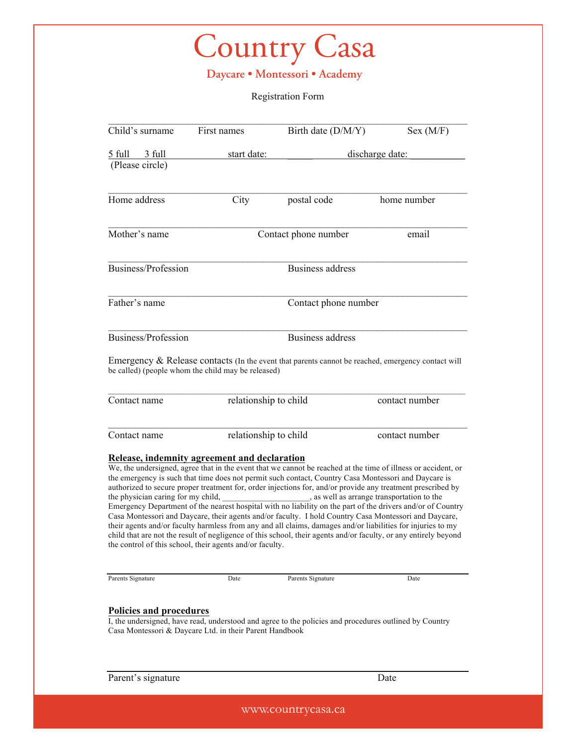## Country Casa

**Daycare • Montessori • Academy**

Registration Form

| Child's surname                     | First names                                                                                              | Birth date (D/M/Y)                                                                                                                                                                                                                                                                                                                                                                                                                                                                                                                                                                                                                                                                                                                                                                                                                                                                        | Sex (M/F)       |
|-------------------------------------|----------------------------------------------------------------------------------------------------------|-------------------------------------------------------------------------------------------------------------------------------------------------------------------------------------------------------------------------------------------------------------------------------------------------------------------------------------------------------------------------------------------------------------------------------------------------------------------------------------------------------------------------------------------------------------------------------------------------------------------------------------------------------------------------------------------------------------------------------------------------------------------------------------------------------------------------------------------------------------------------------------------|-----------------|
| 5 full<br>3 full<br>(Please circle) | start date:                                                                                              |                                                                                                                                                                                                                                                                                                                                                                                                                                                                                                                                                                                                                                                                                                                                                                                                                                                                                           | discharge date: |
| Home address                        | City                                                                                                     | postal code                                                                                                                                                                                                                                                                                                                                                                                                                                                                                                                                                                                                                                                                                                                                                                                                                                                                               | home number     |
| Mother's name                       |                                                                                                          | Contact phone number                                                                                                                                                                                                                                                                                                                                                                                                                                                                                                                                                                                                                                                                                                                                                                                                                                                                      | email           |
| Business/Profession                 |                                                                                                          | <b>Business address</b>                                                                                                                                                                                                                                                                                                                                                                                                                                                                                                                                                                                                                                                                                                                                                                                                                                                                   |                 |
| Father's name                       |                                                                                                          | Contact phone number                                                                                                                                                                                                                                                                                                                                                                                                                                                                                                                                                                                                                                                                                                                                                                                                                                                                      |                 |
| Business/Profession                 |                                                                                                          | <b>Business address</b>                                                                                                                                                                                                                                                                                                                                                                                                                                                                                                                                                                                                                                                                                                                                                                                                                                                                   |                 |
|                                     | be called) (people whom the child may be released)                                                       | Emergency $\&$ Release contacts (In the event that parents cannot be reached, emergency contact will                                                                                                                                                                                                                                                                                                                                                                                                                                                                                                                                                                                                                                                                                                                                                                                      |                 |
| Contact name                        | relationship to child                                                                                    |                                                                                                                                                                                                                                                                                                                                                                                                                                                                                                                                                                                                                                                                                                                                                                                                                                                                                           | contact number  |
| Contact name                        | relationship to child                                                                                    |                                                                                                                                                                                                                                                                                                                                                                                                                                                                                                                                                                                                                                                                                                                                                                                                                                                                                           | contact number  |
|                                     | Release, indemnity agreement and declaration<br>the control of this school, their agents and/or faculty. | We, the undersigned, agree that in the event that we cannot be reached at the time of illness or accident, or<br>the emergency is such that time does not permit such contact, Country Casa Montessori and Daycare is<br>authorized to secure proper treatment for, order injections for, and/or provide any treatment prescribed by<br>the physician caring for my child, some and as a swell as arrange transportation to the<br>Emergency Department of the nearest hospital with no liability on the part of the drivers and/or of Country<br>Casa Montessori and Daycare, their agents and/or faculty. I hold Country Casa Montessori and Daycare,<br>their agents and/or faculty harmless from any and all claims, damages and/or liabilities for injuries to my<br>child that are not the result of negligence of this school, their agents and/or faculty, or any entirely beyond |                 |
| Parents Signature                   | Date                                                                                                     | Parents Signature                                                                                                                                                                                                                                                                                                                                                                                                                                                                                                                                                                                                                                                                                                                                                                                                                                                                         | Date            |
| <b>Policies and procedures</b>      | Casa Montessori & Daycare Ltd. in their Parent Handbook                                                  | I, the undersigned, have read, understood and agree to the policies and procedures outlined by Country                                                                                                                                                                                                                                                                                                                                                                                                                                                                                                                                                                                                                                                                                                                                                                                    |                 |
| Parent's signature                  |                                                                                                          |                                                                                                                                                                                                                                                                                                                                                                                                                                                                                                                                                                                                                                                                                                                                                                                                                                                                                           | Date            |